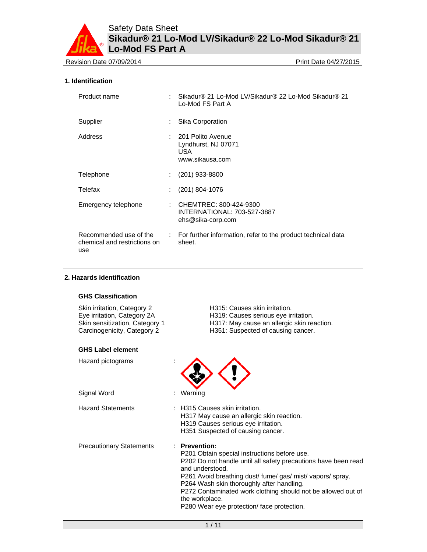Revision Date 07/09/2014 **Print Date 04/27/2015** Print Date 04/27/2015

# **1. Identification**

| Product name                                                  |               | Sikadur® 21 Lo-Mod LV/Sikadur® 22 Lo-Mod Sikadur® 21<br>Lo-Mod FS Part A     |
|---------------------------------------------------------------|---------------|------------------------------------------------------------------------------|
| Supplier                                                      |               | Sika Corporation                                                             |
| Address                                                       |               | : 201 Polito Avenue<br>Lyndhurst, NJ 07071<br>USA.<br>www.sikausa.com        |
| Telephone                                                     | ÷.            | $(201)$ 933-8800                                                             |
| Telefax                                                       |               | (201) 804-1076                                                               |
| Emergency telephone                                           |               | : CHEMTREC: 800-424-9300<br>INTERNATIONAL: 703-527-3887<br>ehs@sika-corp.com |
| Recommended use of the<br>chemical and restrictions on<br>use | $\mathcal{L}$ | For further information, refer to the product technical data<br>sheet.       |

# **2. Hazards identification**

### **GHS Classification**

| Skin irritation, Category 2    | H315: Causes skin irritation.        |
|--------------------------------|--------------------------------------|
| Eye irritation, Category 2A    | H319: Causes serious eye irritation. |
| Skin sensitization, Category 1 | H317: May cause an allergic skin rea |
| Carcinogenicity, Category 2    | H351: Suspected of causing cancer.   |
| <b>GHS Label element</b>       |                                      |

Hazard pictograms :

 $sin$  reaction.



Hazard Statements : H315 Causes skin irritation. H317 May cause an allergic skin reaction. H319 Causes serious eye irritation. H351 Suspected of causing cancer.

Precautionary Statements : **Prevention:**  P201 Obtain special instructions before use. P202 Do not handle until all safety precautions have been read and understood. P261 Avoid breathing dust/ fume/ gas/ mist/ vapors/ spray. P264 Wash skin thoroughly after handling. P272 Contaminated work clothing should not be allowed out of the workplace. P280 Wear eye protection/ face protection.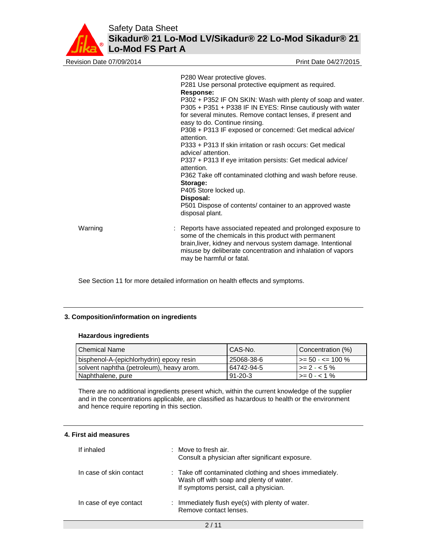

| Revision Date 07/09/2014 | Print Date 04/27/2015                                                                                                                                                                                                                                                                                                                                                                                                                                                                                                                                                                                                                                                                                                                                                 |
|--------------------------|-----------------------------------------------------------------------------------------------------------------------------------------------------------------------------------------------------------------------------------------------------------------------------------------------------------------------------------------------------------------------------------------------------------------------------------------------------------------------------------------------------------------------------------------------------------------------------------------------------------------------------------------------------------------------------------------------------------------------------------------------------------------------|
|                          | P280 Wear protective gloves.<br>P281 Use personal protective equipment as required.<br>Response:<br>P302 + P352 IF ON SKIN: Wash with plenty of soap and water.<br>P305 + P351 + P338 IF IN EYES: Rinse cautiously with water<br>for several minutes. Remove contact lenses, if present and<br>easy to do. Continue rinsing.<br>P308 + P313 IF exposed or concerned: Get medical advice/<br>attention.<br>P333 + P313 If skin irritation or rash occurs: Get medical<br>advice/attention.<br>P337 + P313 If eye irritation persists: Get medical advice/<br>attention.<br>P362 Take off contaminated clothing and wash before reuse.<br>Storage:<br>P405 Store locked up.<br>Disposal:<br>P501 Dispose of contents/ container to an approved waste<br>disposal plant. |
| Warning                  | Reports have associated repeated and prolonged exposure to<br>some of the chemicals in this product with permanent<br>brain, liver, kidney and nervous system damage. Intentional<br>misuse by deliberate concentration and inhalation of vapors<br>may be harmful or fatal.                                                                                                                                                                                                                                                                                                                                                                                                                                                                                          |

See Section 11 for more detailed information on health effects and symptoms.

# **3. Composition/information on ingredients**

### **Hazardous ingredients**

| <b>Chemical Name</b>                     | CAS-No.       | Concentration (%)         |
|------------------------------------------|---------------|---------------------------|
| bisphenol-A-(epichlorhydrin) epoxy resin | 25068-38-6    | $\vert$ >= 50 - <= 100 %  |
| solvent naphtha (petroleum), heavy arom. | 64742-94-5    | $\vert$ >= 2 - < 5 %      |
| Naphthalene, pure                        | $91 - 20 - 3$ | $\rightarrow$ = 0 - < 1 % |

There are no additional ingredients present which, within the current knowledge of the supplier and in the concentrations applicable, are classified as hazardous to health or the environment and hence require reporting in this section.

# **4. First aid measures**

| If inhaled              | Move to fresh air.<br>Consult a physician after significant exposure.                                                                        |
|-------------------------|----------------------------------------------------------------------------------------------------------------------------------------------|
| In case of skin contact | : Take off contaminated clothing and shoes immediately.<br>Wash off with soap and plenty of water.<br>If symptoms persist, call a physician. |
| In case of eye contact  | Immediately flush eye(s) with plenty of water.<br>÷.<br>Remove contact lenses.                                                               |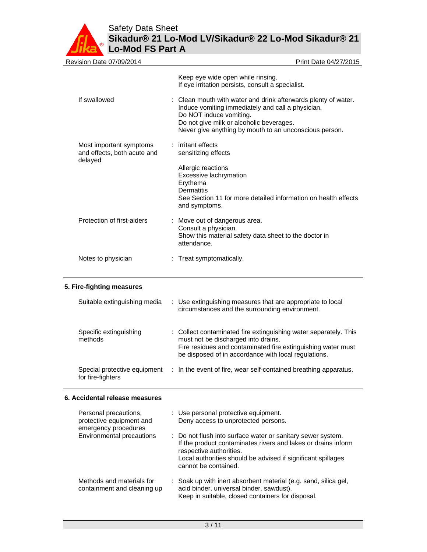Safety Data Sheet



**Sikadur® 21 Lo-Mod LV/Sikadur® 22 Lo-Mod Sikadur® 21 Lo-Mod FS Part A**

| Revision Date 07/09/2014                                          | Print Date 04/27/2015                                                                                                                                                                                                                                |
|-------------------------------------------------------------------|------------------------------------------------------------------------------------------------------------------------------------------------------------------------------------------------------------------------------------------------------|
|                                                                   | Keep eye wide open while rinsing.<br>If eye irritation persists, consult a specialist.                                                                                                                                                               |
| If swallowed                                                      | : Clean mouth with water and drink afterwards plenty of water.<br>Induce vomiting immediately and call a physician.<br>Do NOT induce vomiting.<br>Do not give milk or alcoholic beverages.<br>Never give anything by mouth to an unconscious person. |
| Most important symptoms<br>and effects, both acute and<br>delayed | $:$ irritant effects<br>sensitizing effects                                                                                                                                                                                                          |
|                                                                   | Allergic reactions<br>Excessive lachrymation<br>Erythema<br><b>Dermatitis</b><br>See Section 11 for more detailed information on health effects<br>and symptoms.                                                                                     |
| Protection of first-aiders                                        | : Move out of dangerous area.<br>Consult a physician.<br>Show this material safety data sheet to the doctor in<br>attendance.                                                                                                                        |
| Notes to physician                                                | : Treat symptomatically.                                                                                                                                                                                                                             |

# **5. Fire-fighting measures**

| Suitable extinguishing media                      | : Use extinguishing measures that are appropriate to local<br>circumstances and the surrounding environment.                                                                                                                    |
|---------------------------------------------------|---------------------------------------------------------------------------------------------------------------------------------------------------------------------------------------------------------------------------------|
| Specific extinguishing<br>methods                 | : Collect contaminated fire extinguishing water separately. This<br>must not be discharged into drains.<br>Fire residues and contaminated fire extinguishing water must<br>be disposed of in accordance with local regulations. |
| Special protective equipment<br>for fire-fighters | : In the event of fire, wear self-contained breathing apparatus.                                                                                                                                                                |

# **6. Accidental release measures**

| Personal precautions,<br>protective equipment and<br>emergency procedures | : Use personal protective equipment.<br>Deny access to unprotected persons.                                                                                                                                                                     |  |
|---------------------------------------------------------------------------|-------------------------------------------------------------------------------------------------------------------------------------------------------------------------------------------------------------------------------------------------|--|
| Environmental precautions                                                 | : Do not flush into surface water or sanitary sewer system.<br>If the product contaminates rivers and lakes or drains inform<br>respective authorities.<br>Local authorities should be advised if significant spillages<br>cannot be contained. |  |
| Methods and materials for<br>containment and cleaning up                  | : Soak up with inert absorbent material (e.g. sand, silica gel,<br>acid binder, universal binder, sawdust).<br>Keep in suitable, closed containers for disposal.                                                                                |  |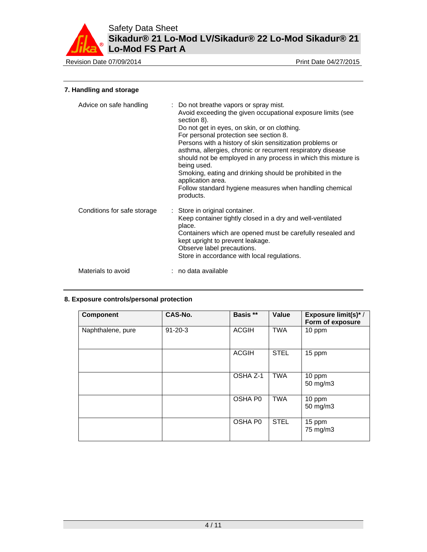

Revision Date 07/09/2014 **Print Date 04/27/2015** 

# **7. Handling and storage**

| Advice on safe handling     | : Do not breathe vapors or spray mist.<br>Avoid exceeding the given occupational exposure limits (see<br>section 8).<br>Do not get in eyes, on skin, or on clothing.<br>For personal protection see section 8.<br>Persons with a history of skin sensitization problems or<br>asthma, allergies, chronic or recurrent respiratory disease<br>should not be employed in any process in which this mixture is<br>being used.<br>Smoking, eating and drinking should be prohibited in the<br>application area.<br>Follow standard hygiene measures when handling chemical<br>products. |
|-----------------------------|-------------------------------------------------------------------------------------------------------------------------------------------------------------------------------------------------------------------------------------------------------------------------------------------------------------------------------------------------------------------------------------------------------------------------------------------------------------------------------------------------------------------------------------------------------------------------------------|
| Conditions for safe storage | : Store in original container.<br>Keep container tightly closed in a dry and well-ventilated<br>place.<br>Containers which are opened must be carefully resealed and<br>kept upright to prevent leakage.<br>Observe label precautions.<br>Store in accordance with local regulations.                                                                                                                                                                                                                                                                                               |
| Materials to avoid          | : no data available                                                                                                                                                                                                                                                                                                                                                                                                                                                                                                                                                                 |

# **8. Exposure controls/personal protection**

| <b>Component</b>  | CAS-No.       | Basis **     | Value       | <b>Exposure limit(s)*/</b><br>Form of exposure |
|-------------------|---------------|--------------|-------------|------------------------------------------------|
| Naphthalene, pure | $91 - 20 - 3$ | <b>ACGIH</b> | <b>TWA</b>  | 10 ppm                                         |
|                   |               | <b>ACGIH</b> | <b>STEL</b> | 15 ppm                                         |
|                   |               | OSHA Z-1     | TWA         | 10 ppm<br>50 mg/m3                             |
|                   |               | OSHA P0      | <b>TWA</b>  | 10 ppm<br>50 mg/m3                             |
|                   |               | OSHA P0      | <b>STEL</b> | 15 ppm<br>75 mg/m3                             |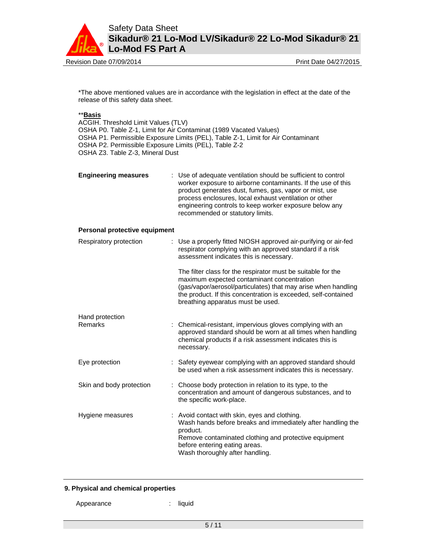

Revision Date 07/09/2014 **Print Date 04/27/2015** Print Date 04/27/2015

\*The above mentioned values are in accordance with the legislation in effect at the date of the release of this safety data sheet.

# \*\***Basis**

ACGIH. Threshold Limit Values (TLV) OSHA P0. Table Z-1, Limit for Air Contaminat (1989 Vacated Values) OSHA P1. Permissible Exposure Limits (PEL), Table Z-1, Limit for Air Contaminant OSHA P2. Permissible Exposure Limits (PEL), Table Z-2 OSHA Z3. Table Z-3, Mineral Dust

| <b>Engineering measures</b> | : Use of adequate ventilation should be sufficient to control<br>worker exposure to airborne contaminants. If the use of this<br>product generates dust, fumes, gas, vapor or mist, use<br>process enclosures, local exhaust ventilation or other<br>engineering controls to keep worker exposure below any<br>recommended or statutory limits. |
|-----------------------------|-------------------------------------------------------------------------------------------------------------------------------------------------------------------------------------------------------------------------------------------------------------------------------------------------------------------------------------------------|
|                             |                                                                                                                                                                                                                                                                                                                                                 |

# **Personal protective equipment**

| Respiratory protection   | : Use a properly fitted NIOSH approved air-purifying or air-fed<br>respirator complying with an approved standard if a risk<br>assessment indicates this is necessary.                                                                                                             |
|--------------------------|------------------------------------------------------------------------------------------------------------------------------------------------------------------------------------------------------------------------------------------------------------------------------------|
|                          | The filter class for the respirator must be suitable for the<br>maximum expected contaminant concentration<br>(gas/vapor/aerosol/particulates) that may arise when handling<br>the product. If this concentration is exceeded, self-contained<br>breathing apparatus must be used. |
| Hand protection          |                                                                                                                                                                                                                                                                                    |
| Remarks                  | Chemical-resistant, impervious gloves complying with an<br>approved standard should be worn at all times when handling<br>chemical products if a risk assessment indicates this is<br>necessary.                                                                                   |
| Eye protection           | : Safety eyewear complying with an approved standard should<br>be used when a risk assessment indicates this is necessary.                                                                                                                                                         |
| Skin and body protection | : Choose body protection in relation to its type, to the<br>concentration and amount of dangerous substances, and to<br>the specific work-place.                                                                                                                                   |
| Hygiene measures         | : Avoid contact with skin, eyes and clothing.<br>Wash hands before breaks and immediately after handling the<br>product.<br>Remove contaminated clothing and protective equipment<br>before entering eating areas.<br>Wash thoroughly after handling.                              |

# **9. Physical and chemical properties**

- Appearance : liquid
	-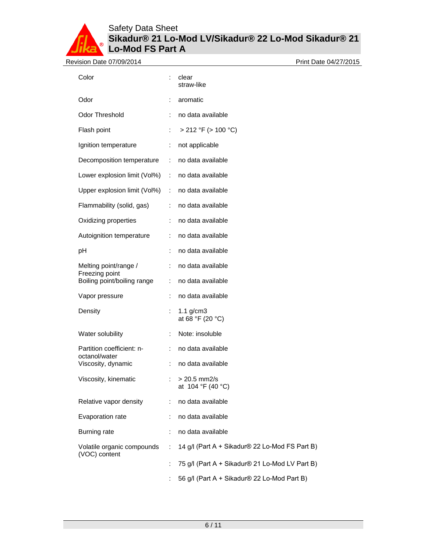| Revision Date 07/09/2014                    |                |                                                | Print Date 04/27/2015 |
|---------------------------------------------|----------------|------------------------------------------------|-----------------------|
| Color                                       | ÷              | clear<br>straw-like                            |                       |
| Odor                                        |                | aromatic                                       |                       |
| Odor Threshold                              |                | no data available                              |                       |
| Flash point                                 | $\ddot{\cdot}$ | $> 212$ °F ( $> 100$ °C)                       |                       |
| Ignition temperature                        | ÷              | not applicable                                 |                       |
| Decomposition temperature                   | ÷              | no data available                              |                       |
| Lower explosion limit (Vol%)                | $\mathcal{L}$  | no data available                              |                       |
| Upper explosion limit (Vol%)                | $\sim$         | no data available                              |                       |
| Flammability (solid, gas)                   | ÷              | no data available                              |                       |
| Oxidizing properties                        | ÷              | no data available                              |                       |
| Autoignition temperature                    | ÷              | no data available                              |                       |
| pH                                          |                | no data available                              |                       |
| Melting point/range /<br>Freezing point     | ÷              | no data available                              |                       |
| Boiling point/boiling range                 | ÷              | no data available                              |                       |
| Vapor pressure                              | ÷              | no data available                              |                       |
| Density                                     | ÷              | 1.1 $g/cm3$<br>at 68 °F (20 °C)                |                       |
| Water solubility                            |                | Note: insoluble                                |                       |
| Partition coefficient: n-<br>octanol/water  | ÷              | no data available                              |                       |
| Viscosity, dynamic                          | ÷              | no data available                              |                       |
| Viscosity, kinematic                        |                | $> 20.5$ mm2/s<br>at 104 °F (40 °C)            |                       |
| Relative vapor density                      | ÷              | no data available                              |                       |
| Evaporation rate                            |                | no data available                              |                       |
| <b>Burning rate</b>                         | ÷              | no data available                              |                       |
| Volatile organic compounds<br>(VOC) content | ÷              | 14 g/l (Part A + Sikadur® 22 Lo-Mod FS Part B) |                       |
|                                             | ÷              | 75 g/l (Part A + Sikadur® 21 Lo-Mod LV Part B) |                       |
|                                             |                | 56 g/l (Part A + Sikadur® 22 Lo-Mod Part B)    |                       |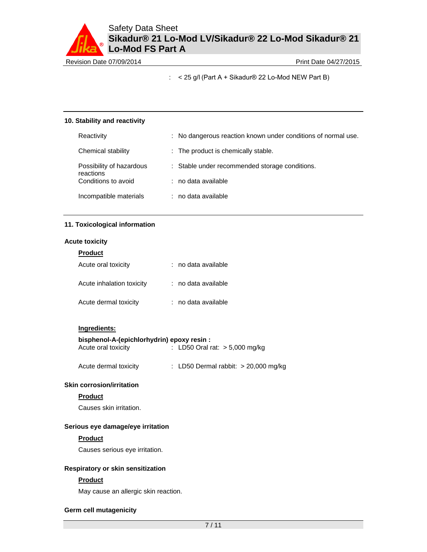Revision Date 07/09/2014 **Print Date 04/27/2015** 

:  $<$  25 g/l (Part A + Sikadur® 22 Lo-Mod NEW Part B)

## **10. Stability and reactivity**

| Reactivity                            | : No dangerous reaction known under conditions of normal use. |
|---------------------------------------|---------------------------------------------------------------|
| Chemical stability                    | : The product is chemically stable.                           |
| Possibility of hazardous<br>reactions | : Stable under recommended storage conditions.                |
| Conditions to avoid                   | : no data available                                           |
| Incompatible materials                | : no data available                                           |

# **11. Toxicological information**

# **Acute toxicity**

| <b>Product</b>            |                     |
|---------------------------|---------------------|
| Acute oral toxicity       | : no data available |
| Acute inhalation toxicity | : no data available |
| Acute dermal toxicity     | : no data available |

### **Ingredients:**

# **bisphenol-A-(epichlorhydrin) epoxy resin :**

| Acute oral toxicity   | : LD50 Oral rat: $> 5,000$ mg/kg       |
|-----------------------|----------------------------------------|
| Acute dermal toxicity | : LD50 Dermal rabbit: $> 20,000$ mg/kg |

# **Skin corrosion/irritation**

### **Product**

Causes skin irritation.

# **Serious eye damage/eye irritation**

### **Product**

Causes serious eye irritation.

### **Respiratory or skin sensitization**

# **Product**

May cause an allergic skin reaction.

### **Germ cell mutagenicity**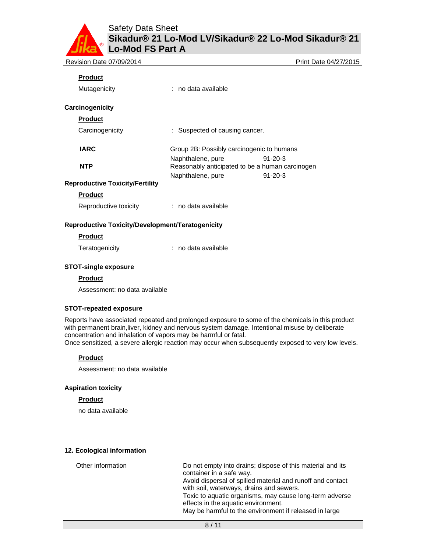| Revision Date 07/09/2014               |                                                                      | Print Date 04/27/2015 |
|----------------------------------------|----------------------------------------------------------------------|-----------------------|
| <b>Product</b>                         |                                                                      |                       |
| Mutagenicity                           | : no data available                                                  |                       |
| Carcinogenicity                        |                                                                      |                       |
| <b>Product</b>                         |                                                                      |                       |
| Carcinogenicity                        | : Suspected of causing cancer.                                       |                       |
| <b>IARC</b>                            | Group 2B: Possibly carcinogenic to humans                            |                       |
| <b>NTP</b>                             | Naphthalene, pure<br>Reasonably anticipated to be a human carcinogen | $91 - 20 - 3$         |
|                                        | Naphthalene, pure                                                    | $91 - 20 - 3$         |
| <b>Reproductive Toxicity/Fertility</b> |                                                                      |                       |

# **Product**

Reproductive toxicity : no data available

# **Reproductive Toxicity/Development/Teratogenicity**

#### **Product**

Teratogenicity **interest in the Contract Contract Contract Contract Contract Contract Contract Contract Contract Contract Contract Contract Contract Contract Contract Contract Contract Contract Contract Contract Contract C** 

### **STOT-single exposure**

# **Product**

Assessment: no data available

# **STOT-repeated exposure**

Reports have associated repeated and prolonged exposure to some of the chemicals in this product with permanent brain,liver, kidney and nervous system damage. Intentional misuse by deliberate concentration and inhalation of vapors may be harmful or fatal.

Once sensitized, a severe allergic reaction may occur when subsequently exposed to very low levels.

# **Product**

Assessment: no data available

### **Aspiration toxicity**

# **Product**

no data available

#### **12. Ecological information**

| Other information | Do not empty into drains; dispose of this material and its |
|-------------------|------------------------------------------------------------|
|                   | container in a safe way.                                   |
|                   | Avoid dispersal of spilled material and runoff and contact |
|                   | with soil, waterways, drains and sewers.                   |
|                   | Toxic to aquatic organisms, may cause long-term adverse    |
|                   | effects in the aquatic environment.                        |
|                   | May be harmful to the environment if released in large     |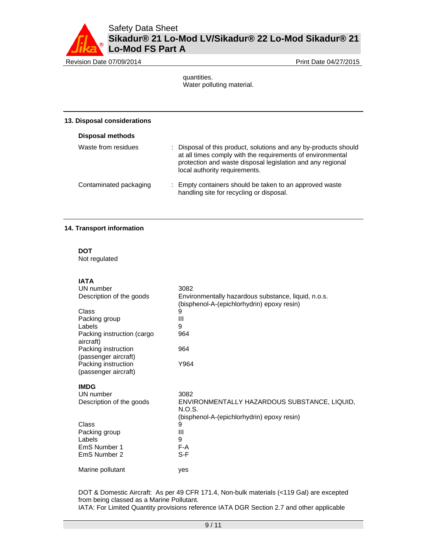Revision Date 07/09/2014 **Print Date 04/27/2015** 

quantities. Water polluting material.

### **13. Disposal considerations**

| <b>Disposal methods</b> |                                                                                                                                                                                                                               |
|-------------------------|-------------------------------------------------------------------------------------------------------------------------------------------------------------------------------------------------------------------------------|
| Waste from residues     | : Disposal of this product, solutions and any by-products should<br>at all times comply with the requirements of environmental<br>protection and waste disposal legislation and any regional<br>local authority requirements. |
| Contaminated packaging  | : Empty containers should be taken to an approved waste<br>handling site for recycling or disposal.                                                                                                                           |

# **14. Transport information**

**DOT**  Not regulated

**IATA** 

| UN number                                   | 3082                                                                                              |
|---------------------------------------------|---------------------------------------------------------------------------------------------------|
| Description of the goods                    | Environmentally hazardous substance, liquid, n.o.s.<br>(bisphenol-A-(epichlorhydrin) epoxy resin) |
| Class                                       | 9                                                                                                 |
| Packing group                               | Ш                                                                                                 |
| Labels                                      | 9                                                                                                 |
| Packing instruction (cargo<br>aircraft)     | 964                                                                                               |
| Packing instruction<br>(passenger aircraft) | 964                                                                                               |
| Packing instruction<br>(passenger aircraft) | Y964                                                                                              |
| <b>IMDG</b>                                 |                                                                                                   |
| UN number                                   | 3082                                                                                              |
| Description of the goods                    | ENVIRONMENTALLY HAZARDOUS SUBSTANCE, LIQUID,<br>N.O.S.                                            |
|                                             | (bisphenol-A-(epichlorhydrin) epoxy resin)                                                        |
| Class                                       | 9                                                                                                 |
| Packing group                               | Ш                                                                                                 |
| Labels                                      | 9                                                                                                 |
| EmS Number 1                                | F-A                                                                                               |
| EmS Number 2                                | S-F                                                                                               |
| Marine pollutant                            | yes                                                                                               |

DOT & Domestic Aircraft: As per 49 CFR 171.4, Non-bulk materials (<119 Gal) are excepted from being classed as a Marine Pollutant. IATA: For Limited Quantity provisions reference IATA DGR Section 2.7 and other applicable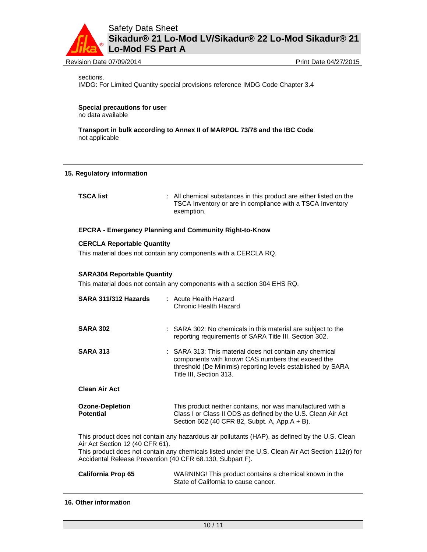

Revision Date 07/09/2014 **Print Date 04/27/2015** Print Date 04/27/2015

sections.

IMDG: For Limited Quantity special provisions reference IMDG Code Chapter 3.4

**Special precautions for user** no data available

**Transport in bulk according to Annex II of MARPOL 73/78 and the IBC Code**  not applicable

### **15. Regulatory information**

**TSCA list** : All chemical substances in this product are either listed on the TSCA Inventory or are in compliance with a TSCA Inventory exemption.

# **EPCRA - Emergency Planning and Community Right-to-Know**

### **CERCLA Reportable Quantity**

This material does not contain any components with a CERCLA RQ.

### **SARA304 Reportable Quantity**

This material does not contain any components with a section 304 EHS RQ.

| SARA 311/312 Hazards                                                                                                                                                                                                                                                                                 | : Acute Health Hazard<br>Chronic Health Hazard                                                                                                                                                         |  |  |  |
|------------------------------------------------------------------------------------------------------------------------------------------------------------------------------------------------------------------------------------------------------------------------------------------------------|--------------------------------------------------------------------------------------------------------------------------------------------------------------------------------------------------------|--|--|--|
| <b>SARA 302</b>                                                                                                                                                                                                                                                                                      | : SARA 302: No chemicals in this material are subject to the<br>reporting requirements of SARA Title III, Section 302.                                                                                 |  |  |  |
| <b>SARA 313</b>                                                                                                                                                                                                                                                                                      | : SARA 313: This material does not contain any chemical<br>components with known CAS numbers that exceed the<br>threshold (De Minimis) reporting levels established by SARA<br>Title III, Section 313. |  |  |  |
| <b>Clean Air Act</b>                                                                                                                                                                                                                                                                                 |                                                                                                                                                                                                        |  |  |  |
| <b>Ozone-Depletion</b><br><b>Potential</b>                                                                                                                                                                                                                                                           | This product neither contains, nor was manufactured with a<br>Class I or Class II ODS as defined by the U.S. Clean Air Act<br>Section 602 (40 CFR 82, Subpt. A, App.A + B).                            |  |  |  |
| This product does not contain any hazardous air pollutants (HAP), as defined by the U.S. Clean<br>Air Act Section 12 (40 CFR 61).<br>This product does not contain any chemicals listed under the U.S. Clean Air Act Section 112(r) for<br>Accidental Release Prevention (40 CFR 68.130, Subpart F). |                                                                                                                                                                                                        |  |  |  |
| <b>California Prop 65</b>                                                                                                                                                                                                                                                                            | WARNING! This product contains a chemical known in the                                                                                                                                                 |  |  |  |

### **16. Other information**

State of California to cause cancer.